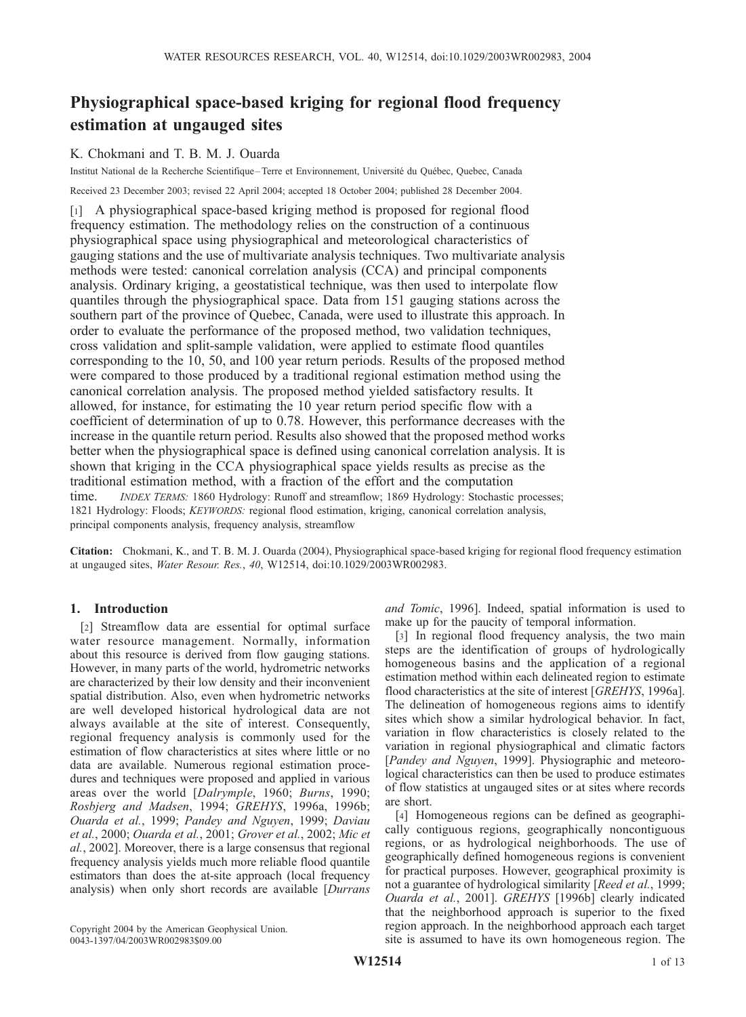# Physiographical space-based kriging for regional flood frequency estimation at ungauged sites

K. Chokmani and T. B. M. J. Ouarda

Institut National de la Recherche Scientifique-Terre et Environnement, Université du Québec, Quebec, Canada

Received 23 December 2003; revised 22 April 2004; accepted 18 October 2004; published 28 December 2004.

[1] A physiographical space-based kriging method is proposed for regional flood frequency estimation. The methodology relies on the construction of a continuous physiographical space using physiographical and meteorological characteristics of gauging stations and the use of multivariate analysis techniques. Two multivariate analysis methods were tested: canonical correlation analysis (CCA) and principal components analysis. Ordinary kriging, a geostatistical technique, was then used to interpolate flow quantiles through the physiographical space. Data from 151 gauging stations across the southern part of the province of Quebec, Canada, were used to illustrate this approach. In order to evaluate the performance of the proposed method, two validation techniques, cross validation and split-sample validation, were applied to estimate flood quantiles corresponding to the 10, 50, and 100 year return periods. Results of the proposed method were compared to those produced by a traditional regional estimation method using the canonical correlation analysis. The proposed method yielded satisfactory results. It allowed, for instance, for estimating the 10 year return period specific flow with a coefficient of determination of up to 0.78. However, this performance decreases with the increase in the quantile return period. Results also showed that the proposed method works better when the physiographical space is defined using canonical correlation analysis. It is shown that kriging in the CCA physiographical space yields results as precise as the traditional estimation method, with a fraction of the effort and the computation time. *INDEX TERMS:* 1860 Hydrology: Runoff and streamflow; 1869 Hydrology: Stochastic processes; 1821 Hydrology: Floods; KEYWORDS: regional flood estimation, kriging, canonical correlation analysis, principal components analysis, frequency analysis, streamflow

Citation: Chokmani, K., and T. B. M. J. Ouarda (2004), Physiographical space-based kriging for regional flood frequency estimation at ungauged sites, Water Resour. Res., 40, W12514, doi:10.1029/2003WR002983.

## 1. Introduction

[2] Streamflow data are essential for optimal surface water resource management. Normally, information about this resource is derived from flow gauging stations. However, in many parts of the world, hydrometric networks are characterized by their low density and their inconvenient spatial distribution. Also, even when hydrometric networks are well developed historical hydrological data are not always available at the site of interest. Consequently, regional frequency analysis is commonly used for the estimation of flow characteristics at sites where little or no data are available. Numerous regional estimation procedures and techniques were proposed and applied in various areas over the world [Dalrymple, 1960; Burns, 1990; Rosbjerg and Madsen, 1994; GREHYS, 1996a, 1996b; Ouarda et al., 1999; Pandey and Nguyen, 1999; Daviau et al., 2000; Ouarda et al., 2001; Grover et al., 2002; Mic et al., 2002]. Moreover, there is a large consensus that regional frequency analysis yields much more reliable flood quantile estimators than does the at-site approach (local frequency analysis) when only short records are available [Durrans

and Tomic, 1996]. Indeed, spatial information is used to make up for the paucity of temporal information.

[3] In regional flood frequency analysis, the two main steps are the identification of groups of hydrologically homogeneous basins and the application of a regional estimation method within each delineated region to estimate flood characteristics at the site of interest [*GREHYS*, 1996a]. The delineation of homogeneous regions aims to identify sites which show a similar hydrological behavior. In fact, variation in flow characteristics is closely related to the variation in regional physiographical and climatic factors [Pandey and Nguyen, 1999]. Physiographic and meteorological characteristics can then be used to produce estimates of flow statistics at ungauged sites or at sites where records are short.

[4] Homogeneous regions can be defined as geographically contiguous regions, geographically noncontiguous regions, or as hydrological neighborhoods. The use of geographically defined homogeneous regions is convenient for practical purposes. However, geographical proximity is not a guarantee of hydrological similarity [Reed et al., 1999; Ouarda et al., 2001]. GREHYS [1996b] clearly indicated that the neighborhood approach is superior to the fixed region approach. In the neighborhood approach each target site is assumed to have its own homogeneous region. The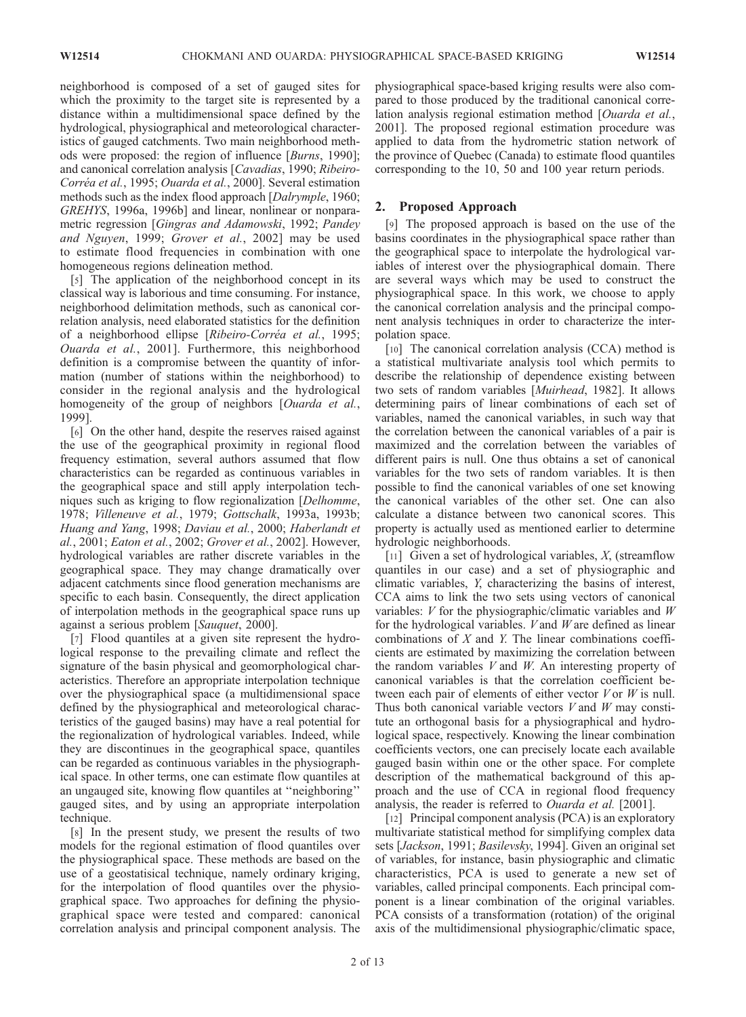neighborhood is composed of a set of gauged sites for which the proximity to the target site is represented by a distance within a multidimensional space defined by the hydrological, physiographical and meteorological characteristics of gauged catchments. Two main neighborhood methods were proposed: the region of influence [Burns, 1990]; and canonical correlation analysis [Cavadias, 1990; Ribeiro-Corréa et al., 1995; Ouarda et al., 2000]. Several estimation methods such as the index flood approach [Dalrymple, 1960; GREHYS, 1996a, 1996b] and linear, nonlinear or nonparametric regression [Gingras and Adamowski, 1992; Pandey and Nguyen, 1999; Grover et al., 2002] may be used to estimate flood frequencies in combination with one homogeneous regions delineation method.

[5] The application of the neighborhood concept in its classical way is laborious and time consuming. For instance, neighborhood delimitation methods, such as canonical correlation analysis, need elaborated statistics for the definition of a neighborhood ellipse [Ribeiro-Corréa et al., 1995; Ouarda et al., 2001]. Furthermore, this neighborhood definition is a compromise between the quantity of information (number of stations within the neighborhood) to consider in the regional analysis and the hydrological homogeneity of the group of neighbors [Ouarda et al., 1999].

[6] On the other hand, despite the reserves raised against the use of the geographical proximity in regional flood frequency estimation, several authors assumed that flow characteristics can be regarded as continuous variables in the geographical space and still apply interpolation techniques such as kriging to flow regionalization [Delhomme, 1978; Villeneuve et al., 1979; Gottschalk, 1993a, 1993b; Huang and Yang, 1998; Daviau et al., 2000; Haberlandt et al., 2001; Eaton et al., 2002; Grover et al., 2002]. However, hydrological variables are rather discrete variables in the geographical space. They may change dramatically over adjacent catchments since flood generation mechanisms are specific to each basin. Consequently, the direct application of interpolation methods in the geographical space runs up against a serious problem [Sauquet, 2000].

[7] Flood quantiles at a given site represent the hydrological response to the prevailing climate and reflect the signature of the basin physical and geomorphological characteristics. Therefore an appropriate interpolation technique over the physiographical space (a multidimensional space defined by the physiographical and meteorological characteristics of the gauged basins) may have a real potential for the regionalization of hydrological variables. Indeed, while they are discontinues in the geographical space, quantiles can be regarded as continuous variables in the physiographical space. In other terms, one can estimate flow quantiles at an ungauged site, knowing flow quantiles at ''neighboring'' gauged sites, and by using an appropriate interpolation technique.

[8] In the present study, we present the results of two models for the regional estimation of flood quantiles over the physiographical space. These methods are based on the use of a geostatisical technique, namely ordinary kriging, for the interpolation of flood quantiles over the physiographical space. Two approaches for defining the physiographical space were tested and compared: canonical correlation analysis and principal component analysis. The

physiographical space-based kriging results were also compared to those produced by the traditional canonical correlation analysis regional estimation method [Ouarda et al., 2001]. The proposed regional estimation procedure was applied to data from the hydrometric station network of the province of Quebec (Canada) to estimate flood quantiles corresponding to the 10, 50 and 100 year return periods.

## 2. Proposed Approach

[9] The proposed approach is based on the use of the basins coordinates in the physiographical space rather than the geographical space to interpolate the hydrological variables of interest over the physiographical domain. There are several ways which may be used to construct the physiographical space. In this work, we choose to apply the canonical correlation analysis and the principal component analysis techniques in order to characterize the interpolation space.

[10] The canonical correlation analysis (CCA) method is a statistical multivariate analysis tool which permits to describe the relationship of dependence existing between two sets of random variables [Muirhead, 1982]. It allows determining pairs of linear combinations of each set of variables, named the canonical variables, in such way that the correlation between the canonical variables of a pair is maximized and the correlation between the variables of different pairs is null. One thus obtains a set of canonical variables for the two sets of random variables. It is then possible to find the canonical variables of one set knowing the canonical variables of the other set. One can also calculate a distance between two canonical scores. This property is actually used as mentioned earlier to determine hydrologic neighborhoods.

[11] Given a set of hydrological variables,  $X$ , (streamflow quantiles in our case) and a set of physiographic and climatic variables, Y, characterizing the basins of interest, CCA aims to link the two sets using vectors of canonical variables:  $V$  for the physiographic/climatic variables and  $W$ for the hydrological variables.  $V$  and  $W$  are defined as linear combinations of  $X$  and  $Y$ . The linear combinations coefficients are estimated by maximizing the correlation between the random variables  $V$  and  $W$ . An interesting property of canonical variables is that the correlation coefficient between each pair of elements of either vector  $V$  or  $W$  is null. Thus both canonical variable vectors  $V$  and  $W$  may constitute an orthogonal basis for a physiographical and hydrological space, respectively. Knowing the linear combination coefficients vectors, one can precisely locate each available gauged basin within one or the other space. For complete description of the mathematical background of this approach and the use of CCA in regional flood frequency analysis, the reader is referred to *Ouarda et al.* [2001].

[12] Principal component analysis (PCA) is an exploratory multivariate statistical method for simplifying complex data sets [Jackson, 1991; Basilevsky, 1994]. Given an original set of variables, for instance, basin physiographic and climatic characteristics, PCA is used to generate a new set of variables, called principal components. Each principal component is a linear combination of the original variables. PCA consists of a transformation (rotation) of the original axis of the multidimensional physiographic/climatic space,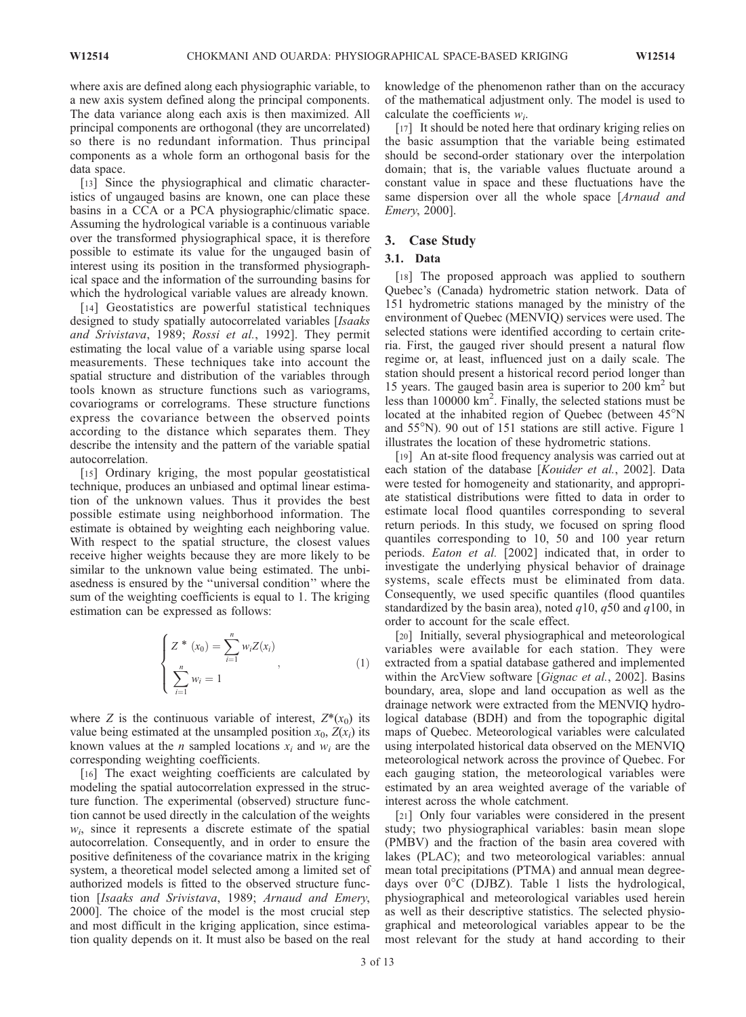where axis are defined along each physiographic variable, to a new axis system defined along the principal components. The data variance along each axis is then maximized. All principal components are orthogonal (they are uncorrelated) so there is no redundant information. Thus principal components as a whole form an orthogonal basis for the data space.

[13] Since the physiographical and climatic characteristics of ungauged basins are known, one can place these basins in a CCA or a PCA physiographic/climatic space. Assuming the hydrological variable is a continuous variable over the transformed physiographical space, it is therefore possible to estimate its value for the ungauged basin of interest using its position in the transformed physiographical space and the information of the surrounding basins for which the hydrological variable values are already known.

[14] Geostatistics are powerful statistical techniques designed to study spatially autocorrelated variables [Isaaks] and Srivistava, 1989; Rossi et al., 1992]. They permit estimating the local value of a variable using sparse local measurements. These techniques take into account the spatial structure and distribution of the variables through tools known as structure functions such as variograms, covariograms or correlograms. These structure functions express the covariance between the observed points according to the distance which separates them. They describe the intensity and the pattern of the variable spatial autocorrelation.

[15] Ordinary kriging, the most popular geostatistical technique, produces an unbiased and optimal linear estimation of the unknown values. Thus it provides the best possible estimate using neighborhood information. The estimate is obtained by weighting each neighboring value. With respect to the spatial structure, the closest values receive higher weights because they are more likely to be similar to the unknown value being estimated. The unbiasedness is ensured by the ''universal condition'' where the sum of the weighting coefficients is equal to 1. The kriging estimation can be expressed as follows:

$$
\begin{cases}\nZ^* (x_0) = \sum_{i=1}^n w_i Z(x_i) \\
\sum_{i=1}^n w_i = 1\n\end{cases}
$$
\n(1)

where Z is the continuous variable of interest,  $Z^*(x_0)$  its value being estimated at the unsampled position  $x_0$ ,  $Z(x_i)$  its known values at the *n* sampled locations  $x_i$  and  $w_i$  are the corresponding weighting coefficients.

[16] The exact weighting coefficients are calculated by modeling the spatial autocorrelation expressed in the structure function. The experimental (observed) structure function cannot be used directly in the calculation of the weights  $w_i$ , since it represents a discrete estimate of the spatial autocorrelation. Consequently, and in order to ensure the positive definiteness of the covariance matrix in the kriging system, a theoretical model selected among a limited set of authorized models is fitted to the observed structure function [Isaaks and Srivistava, 1989; Arnaud and Emery, 2000]. The choice of the model is the most crucial step and most difficult in the kriging application, since estimation quality depends on it. It must also be based on the real

knowledge of the phenomenon rather than on the accuracy of the mathematical adjustment only. The model is used to calculate the coefficients  $w_i$ .

[17] It should be noted here that ordinary kriging relies on the basic assumption that the variable being estimated should be second-order stationary over the interpolation domain; that is, the variable values fluctuate around a constant value in space and these fluctuations have the same dispersion over all the whole space [Arnaud and Emery, 2000].

## 3. Case Study

### 3.1. Data

[18] The proposed approach was applied to southern Quebec's (Canada) hydrometric station network. Data of 151 hydrometric stations managed by the ministry of the environment of Quebec (MENVIQ) services were used. The selected stations were identified according to certain criteria. First, the gauged river should present a natural flow regime or, at least, influenced just on a daily scale. The station should present a historical record period longer than 15 years. The gauged basin area is superior to  $200 \text{ km}^2$  but less than 100000 km<sup>2</sup>. Finally, the selected stations must be located at the inhabited region of Quebec (between  $45^{\circ}$ N and  $55^{\circ}$ N). 90 out of 151 stations are still active. Figure 1 illustrates the location of these hydrometric stations.

[19] An at-site flood frequency analysis was carried out at each station of the database [*Kouider et al.*, 2002]. Data were tested for homogeneity and stationarity, and appropriate statistical distributions were fitted to data in order to estimate local flood quantiles corresponding to several return periods. In this study, we focused on spring flood quantiles corresponding to 10, 50 and 100 year return periods. Eaton et al. [2002] indicated that, in order to investigate the underlying physical behavior of drainage systems, scale effects must be eliminated from data. Consequently, we used specific quantiles (flood quantiles standardized by the basin area), noted  $q10$ ,  $q50$  and  $q100$ , in order to account for the scale effect.

[20] Initially, several physiographical and meteorological variables were available for each station. They were extracted from a spatial database gathered and implemented within the ArcView software [Gignac et al., 2002]. Basins boundary, area, slope and land occupation as well as the drainage network were extracted from the MENVIQ hydrological database (BDH) and from the topographic digital maps of Quebec. Meteorological variables were calculated using interpolated historical data observed on the MENVIQ meteorological network across the province of Quebec. For each gauging station, the meteorological variables were estimated by an area weighted average of the variable of interest across the whole catchment.

[21] Only four variables were considered in the present study; two physiographical variables: basin mean slope (PMBV) and the fraction of the basin area covered with lakes (PLAC); and two meteorological variables: annual mean total precipitations (PTMA) and annual mean degreedays over  $0^{\circ}$ C (DJBZ). Table 1 lists the hydrological, physiographical and meteorological variables used herein as well as their descriptive statistics. The selected physiographical and meteorological variables appear to be the most relevant for the study at hand according to their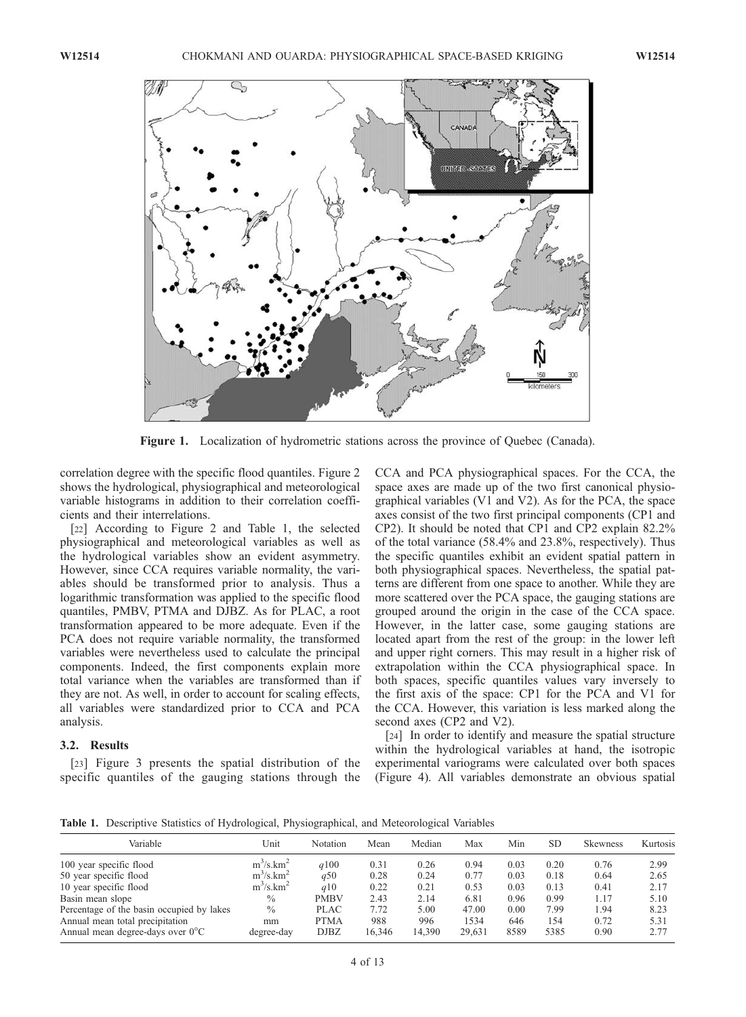

Figure 1. Localization of hydrometric stations across the province of Quebec (Canada).

correlation degree with the specific flood quantiles. Figure 2 shows the hydrological, physiographical and meteorological variable histograms in addition to their correlation coefficients and their interrelations.

[22] According to Figure 2 and Table 1, the selected physiographical and meteorological variables as well as the hydrological variables show an evident asymmetry. However, since CCA requires variable normality, the variables should be transformed prior to analysis. Thus a logarithmic transformation was applied to the specific flood quantiles, PMBV, PTMA and DJBZ. As for PLAC, a root transformation appeared to be more adequate. Even if the PCA does not require variable normality, the transformed variables were nevertheless used to calculate the principal components. Indeed, the first components explain more total variance when the variables are transformed than if they are not. As well, in order to account for scaling effects, all variables were standardized prior to CCA and PCA analysis.

## 3.2. Results

[23] Figure 3 presents the spatial distribution of the specific quantiles of the gauging stations through the CCA and PCA physiographical spaces. For the CCA, the space axes are made up of the two first canonical physiographical variables (V1 and V2). As for the PCA, the space axes consist of the two first principal components (CP1 and CP2). It should be noted that CP1 and CP2 explain 82.2% of the total variance (58.4% and 23.8%, respectively). Thus the specific quantiles exhibit an evident spatial pattern in both physiographical spaces. Nevertheless, the spatial patterns are different from one space to another. While they are more scattered over the PCA space, the gauging stations are grouped around the origin in the case of the CCA space. However, in the latter case, some gauging stations are located apart from the rest of the group: in the lower left and upper right corners. This may result in a higher risk of extrapolation within the CCA physiographical space. In both spaces, specific quantiles values vary inversely to the first axis of the space: CP1 for the PCA and V1 for the CCA. However, this variation is less marked along the second axes (CP2 and V2).

[24] In order to identify and measure the spatial structure within the hydrological variables at hand, the isotropic experimental variograms were calculated over both spaces (Figure 4). All variables demonstrate an obvious spatial

Table 1. Descriptive Statistics of Hydrological, Physiographical, and Meteorological Variables

| Variable                                   | Unit                     | Notation    | Mean   | Median | Max    | Min  | <b>SD</b> | <b>Skewness</b> | Kurtosis |
|--------------------------------------------|--------------------------|-------------|--------|--------|--------|------|-----------|-----------------|----------|
| 100 year specific flood                    | $m^3/s.$ km <sup>2</sup> | q100        | 0.31   | 0.26   | 0.94   | 0.03 | 0.20      | 0.76            | 2.99     |
| 50 year specific flood                     | $m^3/s.$ km <sup>2</sup> | q50         | 0.28   | 0.24   | 0.77   | 0.03 | 0.18      | 0.64            | 2.65     |
| 10 year specific flood                     | $m^3/s.$ km <sup>2</sup> | q10         | 0.22   | 0.21   | 0.53   | 0.03 | 0.13      | 0.41            | 2.17     |
| Basin mean slope                           | $\%$                     | <b>PMBV</b> | 2.43   | 2.14   | 6.81   | 0.96 | 0.99      | 1.17            | 5.10     |
| Percentage of the basin occupied by lakes  | $\frac{0}{0}$            | <b>PLAC</b> | 7.72   | 5.00   | 47.00  | 0.00 | 7.99      | 1.94            | 8.23     |
| Annual mean total precipitation            | mm                       | <b>PTMA</b> | 988    | 996    | 1534   | 646  | 154       | 0.72            | 5.31     |
| Annual mean degree-days over $0^{\circ}$ C | degree-day               | <b>DJBZ</b> | 16.346 | 14.390 | 29.631 | 8589 | 5385      | 0.90            | 2.77     |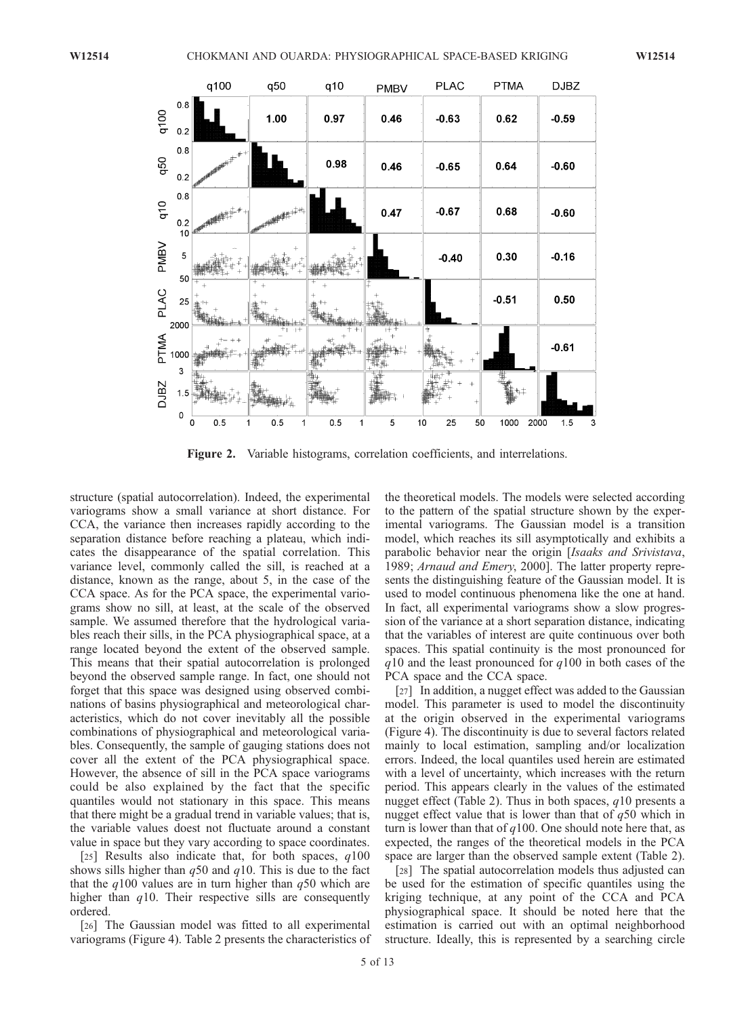

Figure 2. Variable histograms, correlation coefficients, and interrelations.

structure (spatial autocorrelation). Indeed, the experimental variograms show a small variance at short distance. For CCA, the variance then increases rapidly according to the separation distance before reaching a plateau, which indicates the disappearance of the spatial correlation. This variance level, commonly called the sill, is reached at a distance, known as the range, about 5, in the case of the CCA space. As for the PCA space, the experimental variograms show no sill, at least, at the scale of the observed sample. We assumed therefore that the hydrological variables reach their sills, in the PCA physiographical space, at a range located beyond the extent of the observed sample. This means that their spatial autocorrelation is prolonged beyond the observed sample range. In fact, one should not forget that this space was designed using observed combinations of basins physiographical and meteorological characteristics, which do not cover inevitably all the possible combinations of physiographical and meteorological variables. Consequently, the sample of gauging stations does not cover all the extent of the PCA physiographical space. However, the absence of sill in the PCA space variograms could be also explained by the fact that the specific quantiles would not stationary in this space. This means that there might be a gradual trend in variable values; that is, the variable values doest not fluctuate around a constant value in space but they vary according to space coordinates.

[25] Results also indicate that, for both spaces,  $q100$ shows sills higher than  $q50$  and  $q10$ . This is due to the fact that the  $q100$  values are in turn higher than  $q50$  which are higher than  $q10$ . Their respective sills are consequently ordered.

[26] The Gaussian model was fitted to all experimental variograms (Figure 4). Table 2 presents the characteristics of the theoretical models. The models were selected according to the pattern of the spatial structure shown by the experimental variograms. The Gaussian model is a transition model, which reaches its sill asymptotically and exhibits a parabolic behavior near the origin [Isaaks and Srivistava, 1989; Arnaud and Emery, 2000]. The latter property represents the distinguishing feature of the Gaussian model. It is used to model continuous phenomena like the one at hand. In fact, all experimental variograms show a slow progression of the variance at a short separation distance, indicating that the variables of interest are quite continuous over both spaces. This spatial continuity is the most pronounced for  $q10$  and the least pronounced for  $q100$  in both cases of the PCA space and the CCA space.

[27] In addition, a nugget effect was added to the Gaussian model. This parameter is used to model the discontinuity at the origin observed in the experimental variograms (Figure 4). The discontinuity is due to several factors related mainly to local estimation, sampling and/or localization errors. Indeed, the local quantiles used herein are estimated with a level of uncertainty, which increases with the return period. This appears clearly in the values of the estimated nugget effect (Table 2). Thus in both spaces,  $q10$  presents a nugget effect value that is lower than that of  $q50$  which in turn is lower than that of  $q100$ . One should note here that, as expected, the ranges of the theoretical models in the PCA space are larger than the observed sample extent (Table 2).

[28] The spatial autocorrelation models thus adjusted can be used for the estimation of specific quantiles using the kriging technique, at any point of the CCA and PCA physiographical space. It should be noted here that the estimation is carried out with an optimal neighborhood structure. Ideally, this is represented by a searching circle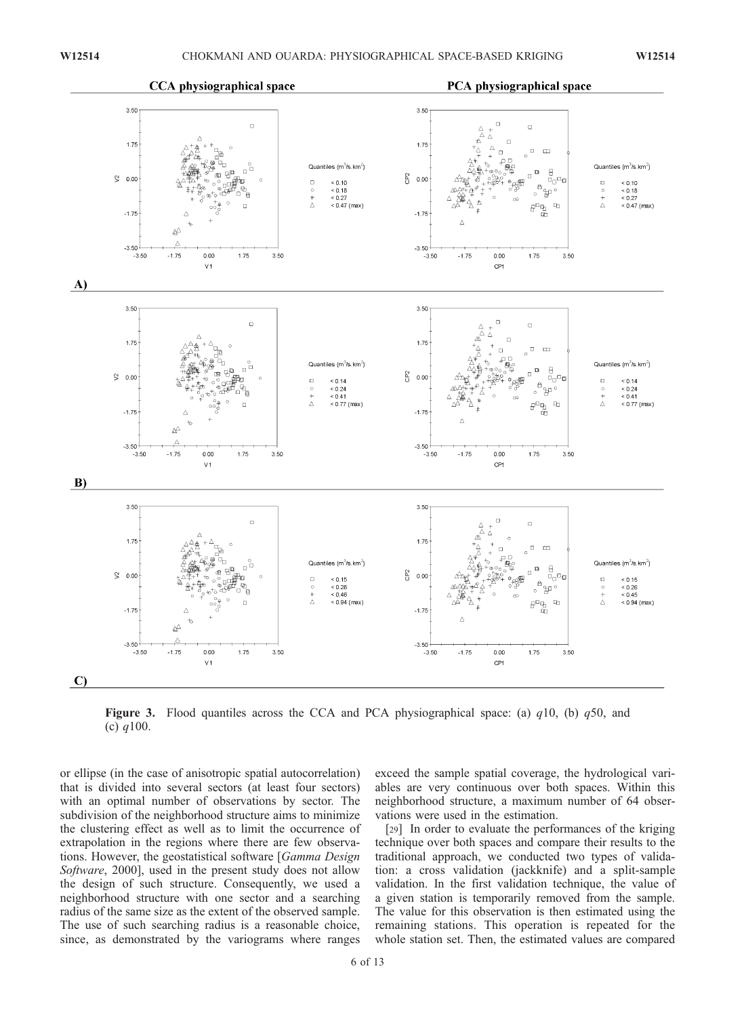

**Figure 3.** Flood quantiles across the CCA and PCA physiographical space: (a)  $q10$ , (b)  $q50$ , and (c)  $q100$ .

or ellipse (in the case of anisotropic spatial autocorrelation) that is divided into several sectors (at least four sectors) with an optimal number of observations by sector. The subdivision of the neighborhood structure aims to minimize the clustering effect as well as to limit the occurrence of extrapolation in the regions where there are few observations. However, the geostatistical software [Gamma Design] Software, 2000], used in the present study does not allow the design of such structure. Consequently, we used a neighborhood structure with one sector and a searching radius of the same size as the extent of the observed sample. The use of such searching radius is a reasonable choice, since, as demonstrated by the variograms where ranges exceed the sample spatial coverage, the hydrological variables are very continuous over both spaces. Within this neighborhood structure, a maximum number of 64 observations were used in the estimation.

[29] In order to evaluate the performances of the kriging technique over both spaces and compare their results to the traditional approach, we conducted two types of validation: a cross validation (jackknife) and a split-sample validation. In the first validation technique, the value of a given station is temporarily removed from the sample. The value for this observation is then estimated using the remaining stations. This operation is repeated for the whole station set. Then, the estimated values are compared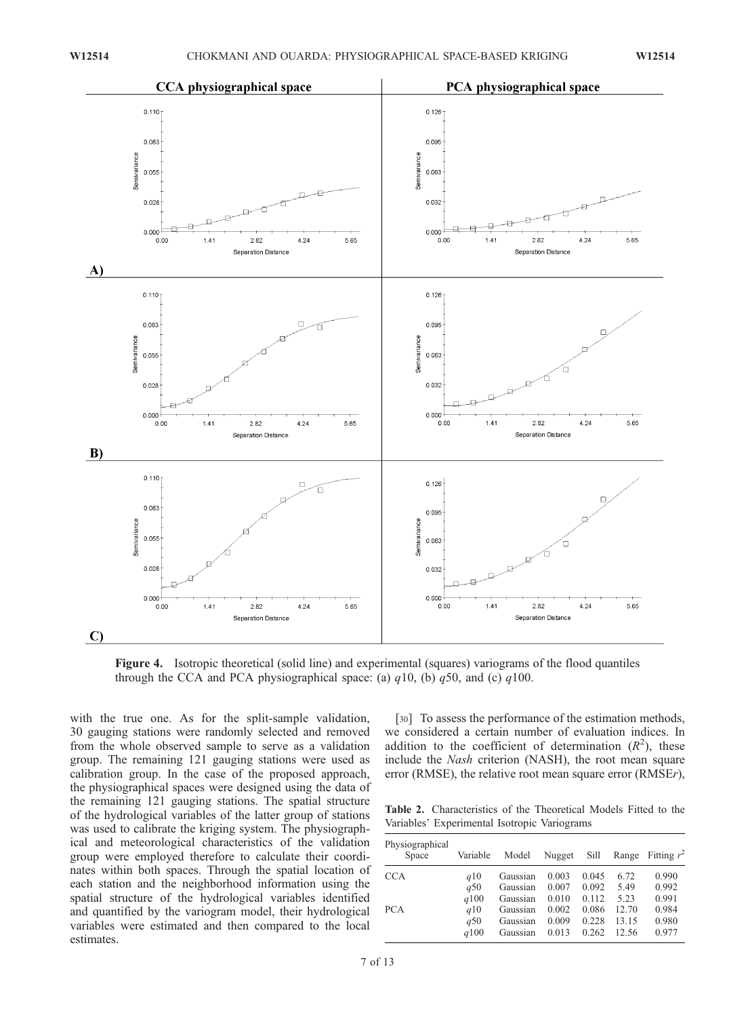

Figure 4. Isotropic theoretical (solid line) and experimental (squares) variograms of the flood quantiles through the CCA and PCA physiographical space: (a)  $q10$ , (b)  $q50$ , and (c)  $q100$ .

with the true one. As for the split-sample validation, 30 gauging stations were randomly selected and removed from the whole observed sample to serve as a validation group. The remaining 121 gauging stations were used as calibration group. In the case of the proposed approach, the physiographical spaces were designed using the data of the remaining 121 gauging stations. The spatial structure of the hydrological variables of the latter group of stations was used to calibrate the kriging system. The physiographical and meteorological characteristics of the validation group were employed therefore to calculate their coordinates within both spaces. Through the spatial location of each station and the neighborhood information using the spatial structure of the hydrological variables identified and quantified by the variogram model, their hydrological variables were estimated and then compared to the local estimates.

[30] To assess the performance of the estimation methods, we considered a certain number of evaluation indices. In addition to the coefficient of determination  $(R^2)$ , these include the Nash criterion (NASH), the root mean square error (RMSE), the relative root mean square error (RMSEr),

Table 2. Characteristics of the Theoretical Models Fitted to the Variables' Experimental Isotropic Variograms

| Physiographical<br>Space | Variable                                 | Model                                                                | Nugget                                             | Sill                                               | Range                                           | Fitting $r^2$                                      |
|--------------------------|------------------------------------------|----------------------------------------------------------------------|----------------------------------------------------|----------------------------------------------------|-------------------------------------------------|----------------------------------------------------|
| <b>CCA</b><br><b>PCA</b> | q10<br>q50<br>q100<br>q10<br>q50<br>q100 | Gaussian<br>Gaussian<br>Gaussian<br>Gaussian<br>Gaussian<br>Gaussian | 0.003<br>0.007<br>0.010<br>0.002<br>0.009<br>0.013 | 0.045<br>0.092<br>0.112<br>0.086<br>0.228<br>0.262 | 6.72<br>5.49<br>5.23<br>12.70<br>13.15<br>12.56 | 0.990<br>0.992<br>0.991<br>0.984<br>0.980<br>0.977 |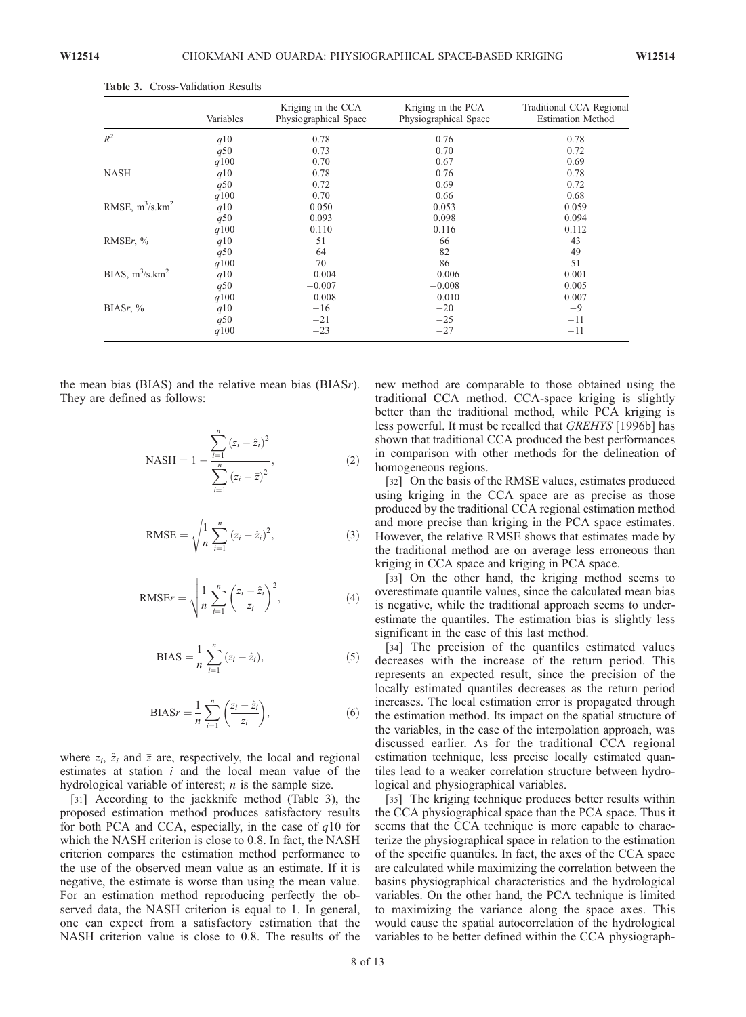|                    | Variables | Kriging in the CCA<br>Physiographical Space | Kriging in the PCA<br>Physiographical Space | Traditional CCA Regional<br><b>Estimation Method</b> |
|--------------------|-----------|---------------------------------------------|---------------------------------------------|------------------------------------------------------|
| $R^2$              | q10       | 0.78                                        | 0.76                                        | 0.78                                                 |
|                    | q50       | 0.73                                        | 0.70                                        | 0.72                                                 |
|                    | q100      | 0.70                                        | 0.67                                        | 0.69                                                 |
| <b>NASH</b>        | q10       | 0.78                                        | 0.76                                        | 0.78                                                 |
|                    | q50       | 0.72                                        | 0.69                                        | 0.72                                                 |
|                    | q100      | 0.70                                        | 0.66                                        | 0.68                                                 |
| RMSE, $m^3/s.km^2$ | q10       | 0.050                                       | 0.053                                       | 0.059                                                |
|                    | q50       | 0.093                                       | 0.098                                       | 0.094                                                |
|                    | q100      | 0.110                                       | 0.116                                       | 0.112                                                |
| RMSE $r$ , %       | q10       | 51                                          | 66                                          | 43                                                   |
|                    | q50       | 64                                          | 82                                          | 49                                                   |
|                    | q100      | 70                                          | 86                                          | 51                                                   |
| BIAS, $m^3/s.km^2$ | q10       | $-0.004$                                    | $-0.006$                                    | 0.001                                                |
|                    | q50       | $-0.007$                                    | $-0.008$                                    | 0.005                                                |
|                    | q100      | $-0.008$                                    | $-0.010$                                    | 0.007                                                |
| BIAS $r, \%$       | q10       | $-16$                                       | $-20$                                       | -9                                                   |
|                    | q50       | $-21$                                       | $-25$                                       | $-11$                                                |
|                    | q100      | $-23$                                       | $-27$                                       | $-11$                                                |

Table 3. Cross-Validation Results

the mean bias (BIAS) and the relative mean bias (BIASr). They are defined as follows:

$$
\text{NASH} = 1 - \frac{\sum_{i=1}^{n} (z_i - \hat{z}_i)^2}{\sum_{i=1}^{n} (z_i - \bar{z})^2},\tag{2}
$$

RMSE = 
$$
\sqrt{\frac{1}{n} \sum_{i=1}^{n} (z_i - \hat{z}_i)^2}
$$
, (3)

RMSE
$$
r = \sqrt{\frac{1}{n} \sum_{i=1}^{n} \left(\frac{z_i - \hat{z}_i}{z_i}\right)^2}
$$
, (4)

BIAS = 
$$
\frac{1}{n} \sum_{i=1}^{n} (z_i - \hat{z}_i),
$$
 (5)

$$
BIASr = \frac{1}{n} \sum_{i=1}^{n} \left( \frac{z_i - \hat{z}_i}{z_i} \right),
$$
 (6)

where  $z_i$ ,  $\hat{z}_i$  and  $\bar{z}$  are, respectively, the local and regional estimates at station  $i$  and the local mean value of the hydrological variable of interest;  $n$  is the sample size.

[31] According to the jackknife method (Table 3), the proposed estimation method produces satisfactory results for both PCA and CCA, especially, in the case of  $q10$  for which the NASH criterion is close to 0.8. In fact, the NASH criterion compares the estimation method performance to the use of the observed mean value as an estimate. If it is negative, the estimate is worse than using the mean value. For an estimation method reproducing perfectly the observed data, the NASH criterion is equal to 1. In general, one can expect from a satisfactory estimation that the NASH criterion value is close to 0.8. The results of the new method are comparable to those obtained using the traditional CCA method. CCA-space kriging is slightly better than the traditional method, while PCA kriging is less powerful. It must be recalled that GREHYS [1996b] has shown that traditional CCA produced the best performances in comparison with other methods for the delineation of homogeneous regions.

[32] On the basis of the RMSE values, estimates produced using kriging in the CCA space are as precise as those produced by the traditional CCA regional estimation method and more precise than kriging in the PCA space estimates. However, the relative RMSE shows that estimates made by the traditional method are on average less erroneous than kriging in CCA space and kriging in PCA space.

[33] On the other hand, the kriging method seems to overestimate quantile values, since the calculated mean bias is negative, while the traditional approach seems to underestimate the quantiles. The estimation bias is slightly less significant in the case of this last method.

[34] The precision of the quantiles estimated values decreases with the increase of the return period. This represents an expected result, since the precision of the locally estimated quantiles decreases as the return period increases. The local estimation error is propagated through the estimation method. Its impact on the spatial structure of the variables, in the case of the interpolation approach, was discussed earlier. As for the traditional CCA regional estimation technique, less precise locally estimated quantiles lead to a weaker correlation structure between hydrological and physiographical variables.

[35] The kriging technique produces better results within the CCA physiographical space than the PCA space. Thus it seems that the CCA technique is more capable to characterize the physiographical space in relation to the estimation of the specific quantiles. In fact, the axes of the CCA space are calculated while maximizing the correlation between the basins physiographical characteristics and the hydrological variables. On the other hand, the PCA technique is limited to maximizing the variance along the space axes. This would cause the spatial autocorrelation of the hydrological variables to be better defined within the CCA physiograph-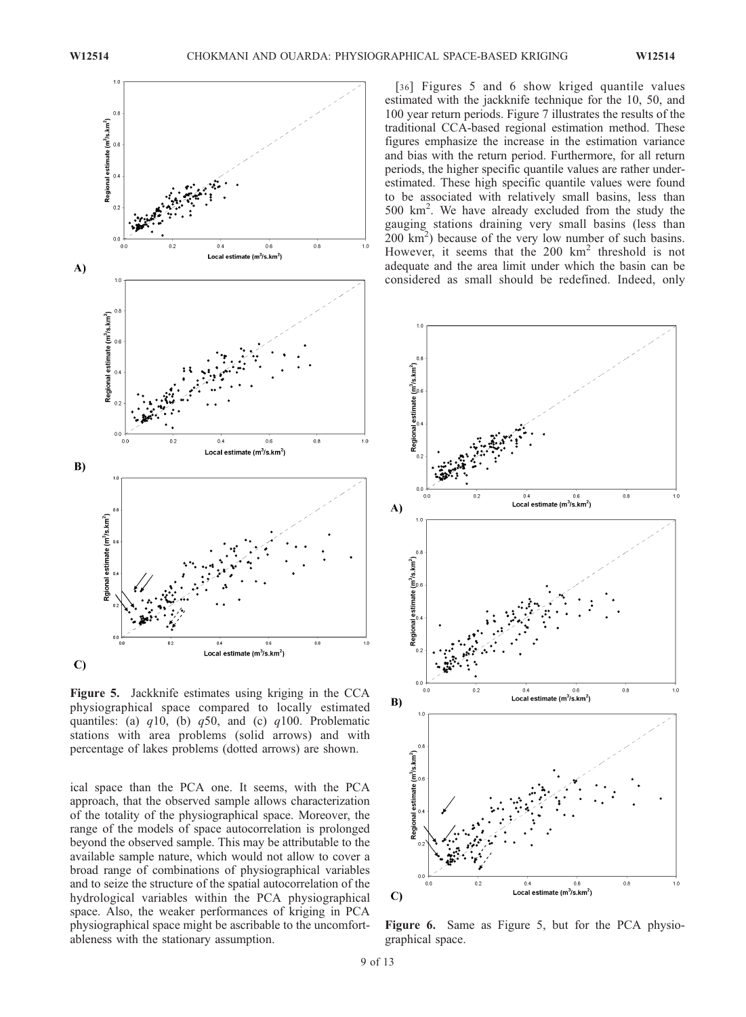

Figure 5. Jackknife estimates using kriging in the CCA physiographical space compared to locally estimated quantiles: (a)  $q10$ , (b)  $q50$ , and (c)  $q100$ . Problematic stations with area problems (solid arrows) and with percentage of lakes problems (dotted arrows) are shown.

ical space than the PCA one. It seems, with the PCA approach, that the observed sample allows characterization of the totality of the physiographical space. Moreover, the range of the models of space autocorrelation is prolonged beyond the observed sample. This may be attributable to the available sample nature, which would not allow to cover a broad range of combinations of physiographical variables and to seize the structure of the spatial autocorrelation of the hydrological variables within the PCA physiographical space. Also, the weaker performances of kriging in PCA physiographical space might be ascribable to the uncomfortableness with the stationary assumption.

[36] Figures 5 and 6 show kriged quantile values estimated with the jackknife technique for the 10, 50, and 100 year return periods. Figure 7 illustrates the results of the traditional CCA-based regional estimation method. These figures emphasize the increase in the estimation variance and bias with the return period. Furthermore, for all return periods, the higher specific quantile values are rather underestimated. These high specific quantile values were found to be associated with relatively small basins, less than 500 km<sup>2</sup> . We have already excluded from the study the gauging stations draining very small basins (less than  $200 \text{ km}^2$ ) because of the very low number of such basins. However, it seems that the  $200 \text{ km}^2$  threshold is not adequate and the area limit under which the basin can be considered as small should be redefined. Indeed, only



Figure 6. Same as Figure 5, but for the PCA physiographical space.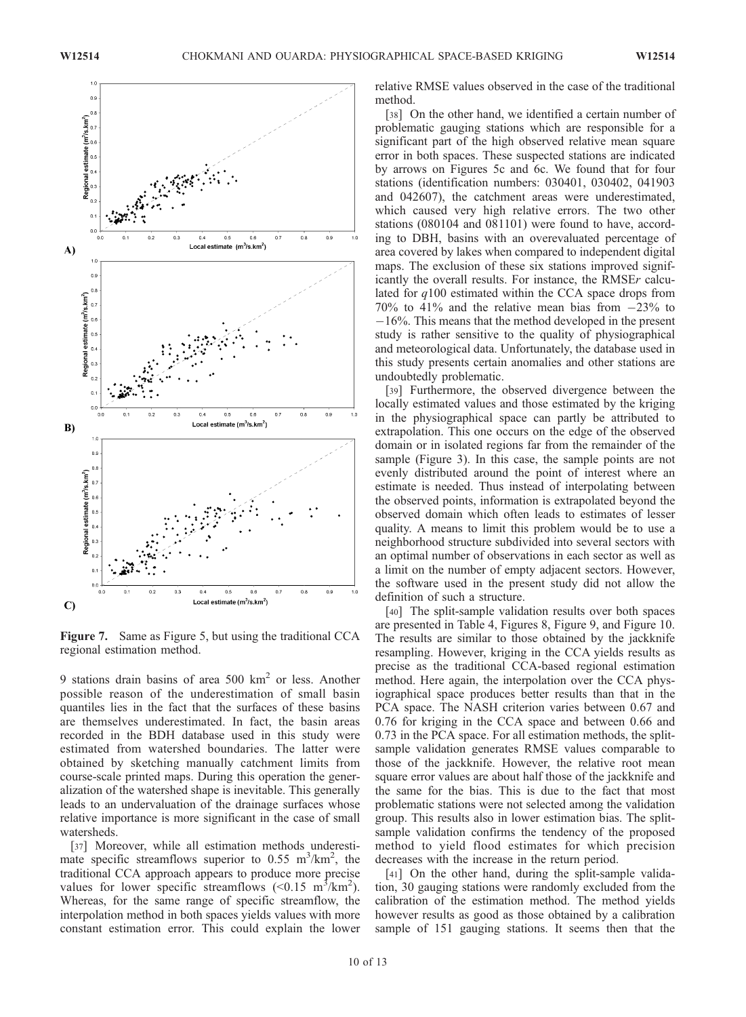

Figure 7. Same as Figure 5, but using the traditional CCA regional estimation method.

9 stations drain basins of area 500  $km<sup>2</sup>$  or less. Another possible reason of the underestimation of small basin quantiles lies in the fact that the surfaces of these basins are themselves underestimated. In fact, the basin areas recorded in the BDH database used in this study were estimated from watershed boundaries. The latter were obtained by sketching manually catchment limits from course-scale printed maps. During this operation the generalization of the watershed shape is inevitable. This generally leads to an undervaluation of the drainage surfaces whose relative importance is more significant in the case of small watersheds.

[37] Moreover, while all estimation methods underestimate specific streamflows superior to  $0.55 \text{ m}^3/\text{km}^2$ , the traditional CCA approach appears to produce more precise values for lower specific streamflows  $(<0.15 \text{ m}^3/\text{km}^2)$ . Whereas, for the same range of specific streamflow, the interpolation method in both spaces yields values with more constant estimation error. This could explain the lower relative RMSE values observed in the case of the traditional method.

[38] On the other hand, we identified a certain number of problematic gauging stations which are responsible for a significant part of the high observed relative mean square error in both spaces. These suspected stations are indicated by arrows on Figures 5c and 6c. We found that for four stations (identification numbers: 030401, 030402, 041903 and 042607), the catchment areas were underestimated, which caused very high relative errors. The two other stations (080104 and 081101) were found to have, according to DBH, basins with an overevaluated percentage of area covered by lakes when compared to independent digital maps. The exclusion of these six stations improved significantly the overall results. For instance, the RMSEr calculated for  $q100$  estimated within the CCA space drops from 70% to 41% and the relative mean bias from  $-23\%$  to  $-16\%$ . This means that the method developed in the present study is rather sensitive to the quality of physiographical and meteorological data. Unfortunately, the database used in this study presents certain anomalies and other stations are undoubtedly problematic.

[39] Furthermore, the observed divergence between the locally estimated values and those estimated by the kriging in the physiographical space can partly be attributed to extrapolation. This one occurs on the edge of the observed domain or in isolated regions far from the remainder of the sample (Figure 3). In this case, the sample points are not evenly distributed around the point of interest where an estimate is needed. Thus instead of interpolating between the observed points, information is extrapolated beyond the observed domain which often leads to estimates of lesser quality. A means to limit this problem would be to use a neighborhood structure subdivided into several sectors with an optimal number of observations in each sector as well as a limit on the number of empty adjacent sectors. However, the software used in the present study did not allow the definition of such a structure.

[40] The split-sample validation results over both spaces are presented in Table 4, Figures 8, Figure 9, and Figure 10. The results are similar to those obtained by the jackknife resampling. However, kriging in the CCA yields results as precise as the traditional CCA-based regional estimation method. Here again, the interpolation over the CCA physiographical space produces better results than that in the PCA space. The NASH criterion varies between 0.67 and 0.76 for kriging in the CCA space and between 0.66 and 0.73 in the PCA space. For all estimation methods, the splitsample validation generates RMSE values comparable to those of the jackknife. However, the relative root mean square error values are about half those of the jackknife and the same for the bias. This is due to the fact that most problematic stations were not selected among the validation group. This results also in lower estimation bias. The splitsample validation confirms the tendency of the proposed method to yield flood estimates for which precision decreases with the increase in the return period.

[41] On the other hand, during the split-sample validation, 30 gauging stations were randomly excluded from the calibration of the estimation method. The method yields however results as good as those obtained by a calibration sample of 151 gauging stations. It seems then that the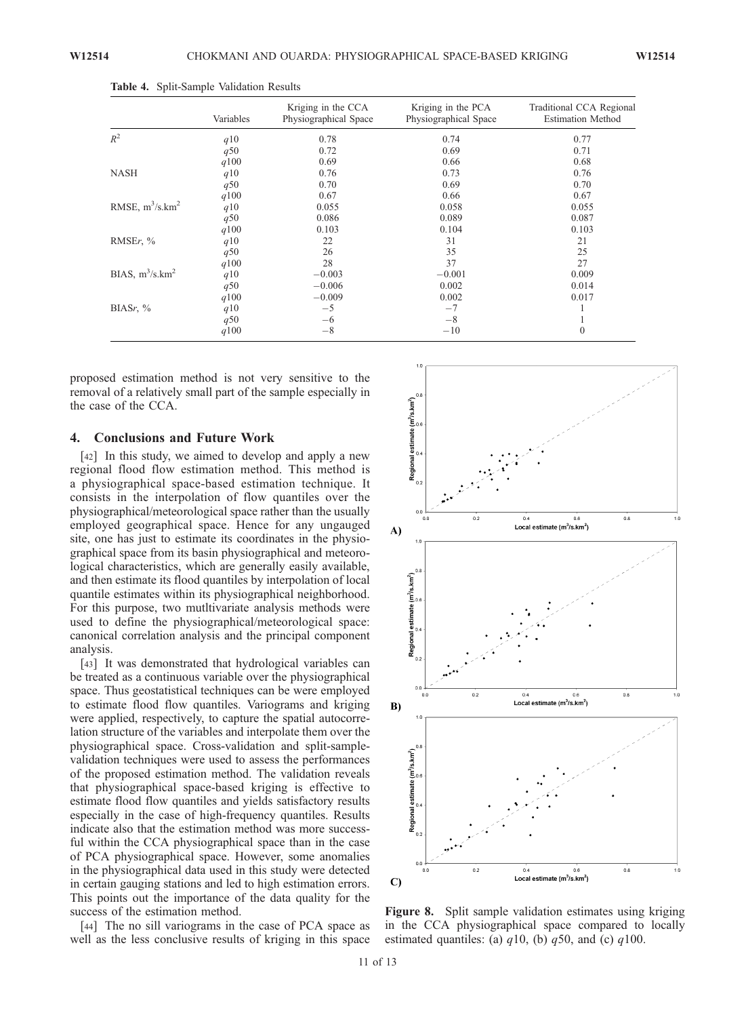|                    | Variables | Kriging in the CCA<br>Physiographical Space | Kriging in the PCA<br>Physiographical Space | Traditional CCA Regional<br><b>Estimation Method</b> |
|--------------------|-----------|---------------------------------------------|---------------------------------------------|------------------------------------------------------|
| $R^2$              | q10       | 0.78                                        | 0.74                                        | 0.77                                                 |
|                    | q50       | 0.72                                        | 0.69                                        | 0.71                                                 |
|                    | q100      | 0.69                                        | 0.66                                        | 0.68                                                 |
| <b>NASH</b>        | q10       | 0.76                                        | 0.73                                        | 0.76                                                 |
|                    | q50       | 0.70                                        | 0.69                                        | 0.70                                                 |
|                    | q100      | 0.67                                        | 0.66                                        | 0.67                                                 |
| RMSE, $m^3/s.km^2$ | q10       | 0.055                                       | 0.058                                       | 0.055                                                |
|                    | q50       | 0.086                                       | 0.089                                       | 0.087                                                |
|                    | q100      | 0.103                                       | 0.104                                       | 0.103                                                |
| RMSE $r$ , %       | q10       | 22                                          | 31                                          | 21                                                   |
|                    | q50       | 26                                          | 35                                          | 25                                                   |
|                    | q100      | 28                                          | 37                                          | 27                                                   |
| BIAS, $m^3/s.km^2$ | q10       | $-0.003$                                    | $-0.001$                                    | 0.009                                                |
|                    | q50       | $-0.006$                                    | 0.002                                       | 0.014                                                |
|                    | q100      | $-0.009$                                    | 0.002                                       | 0.017                                                |
| BIAS $r, \%$       | q10       | $-5$                                        | $-7$                                        |                                                      |
|                    | q50       | $-6$                                        | $-8$                                        |                                                      |
|                    | q100      | $-8$                                        | $-10$                                       | $\mathbf{0}$                                         |

Table 4. Split-Sample Validation Results

proposed estimation method is not very sensitive to the removal of a relatively small part of the sample especially in the case of the CCA.

## 4. Conclusions and Future Work

[42] In this study, we aimed to develop and apply a new regional flood flow estimation method. This method is a physiographical space-based estimation technique. It consists in the interpolation of flow quantiles over the physiographical/meteorological space rather than the usually employed geographical space. Hence for any ungauged site, one has just to estimate its coordinates in the physiographical space from its basin physiographical and meteorological characteristics, which are generally easily available, and then estimate its flood quantiles by interpolation of local quantile estimates within its physiographical neighborhood. For this purpose, two mutltivariate analysis methods were used to define the physiographical/meteorological space: canonical correlation analysis and the principal component analysis.

[43] It was demonstrated that hydrological variables can be treated as a continuous variable over the physiographical space. Thus geostatistical techniques can be were employed to estimate flood flow quantiles. Variograms and kriging were applied, respectively, to capture the spatial autocorrelation structure of the variables and interpolate them over the physiographical space. Cross-validation and split-samplevalidation techniques were used to assess the performances of the proposed estimation method. The validation reveals that physiographical space-based kriging is effective to estimate flood flow quantiles and yields satisfactory results especially in the case of high-frequency quantiles. Results indicate also that the estimation method was more successful within the CCA physiographical space than in the case of PCA physiographical space. However, some anomalies in the physiographical data used in this study were detected in certain gauging stations and led to high estimation errors. This points out the importance of the data quality for the success of the estimation method.

[44] The no sill variograms in the case of PCA space as well as the less conclusive results of kriging in this space



Figure 8. Split sample validation estimates using kriging in the CCA physiographical space compared to locally estimated quantiles: (a)  $q10$ , (b)  $q50$ , and (c)  $q100$ .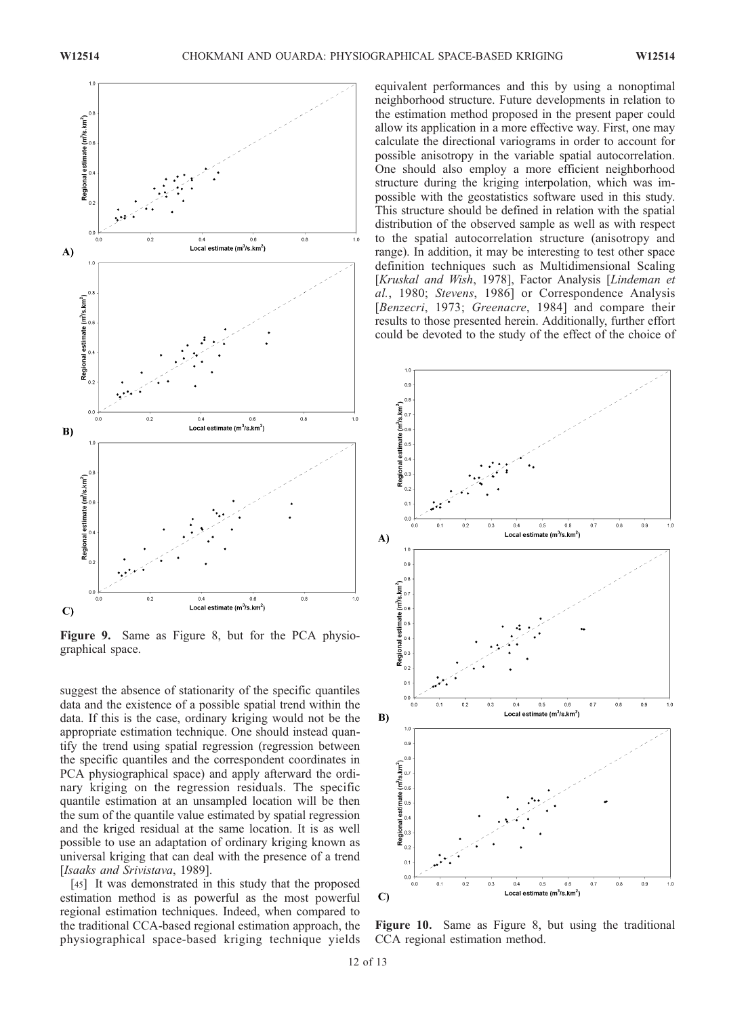

Figure 9. Same as Figure 8, but for the PCA physiographical space.

suggest the absence of stationarity of the specific quantiles data and the existence of a possible spatial trend within the data. If this is the case, ordinary kriging would not be the appropriate estimation technique. One should instead quantify the trend using spatial regression (regression between the specific quantiles and the correspondent coordinates in PCA physiographical space) and apply afterward the ordinary kriging on the regression residuals. The specific quantile estimation at an unsampled location will be then the sum of the quantile value estimated by spatial regression and the kriged residual at the same location. It is as well possible to use an adaptation of ordinary kriging known as universal kriging that can deal with the presence of a trend [Isaaks and Srivistava, 1989].

[45] It was demonstrated in this study that the proposed estimation method is as powerful as the most powerful regional estimation techniques. Indeed, when compared to the traditional CCA-based regional estimation approach, the physiographical space-based kriging technique yields equivalent performances and this by using a nonoptimal neighborhood structure. Future developments in relation to the estimation method proposed in the present paper could allow its application in a more effective way. First, one may calculate the directional variograms in order to account for possible anisotropy in the variable spatial autocorrelation. One should also employ a more efficient neighborhood structure during the kriging interpolation, which was impossible with the geostatistics software used in this study. This structure should be defined in relation with the spatial distribution of the observed sample as well as with respect to the spatial autocorrelation structure (anisotropy and range). In addition, it may be interesting to test other space definition techniques such as Multidimensional Scaling [Kruskal and Wish, 1978], Factor Analysis [Lindeman et al., 1980; Stevens, 1986] or Correspondence Analysis [Benzecri, 1973; Greenacre, 1984] and compare their results to those presented herein. Additionally, further effort could be devoted to the study of the effect of the choice of



Figure 10. Same as Figure 8, but using the traditional CCA regional estimation method.